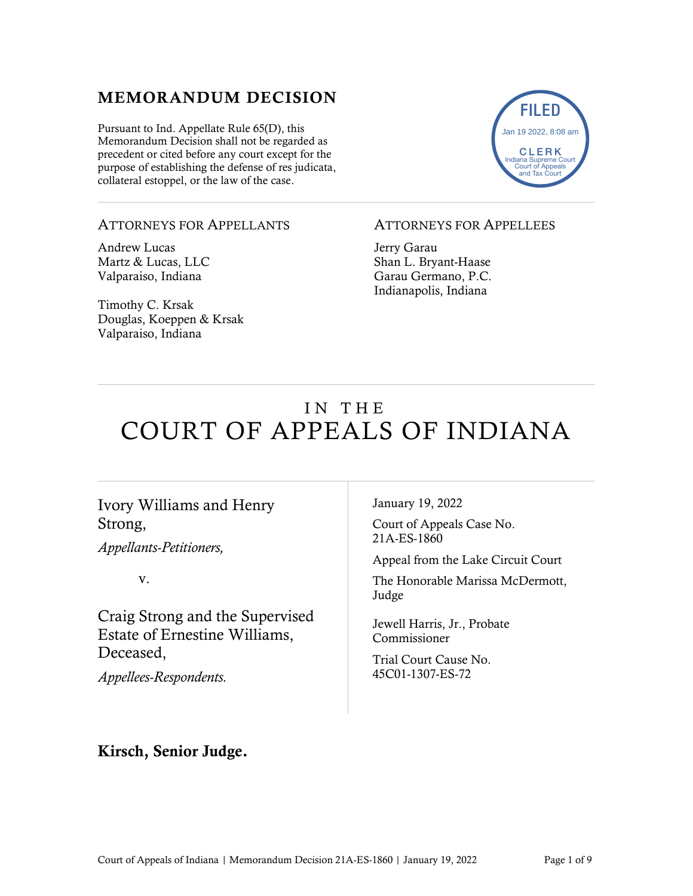### MEMORANDUM DECISION

Pursuant to Ind. Appellate Rule 65(D), this Memorandum Decision shall not be regarded as precedent or cited before any court except for the purpose of establishing the defense of res judicata, collateral estoppel, or the law of the case.



#### ATTORNEYS FOR APPELLANTS

Andrew Lucas Martz & Lucas, LLC Valparaiso, Indiana

Timothy C. Krsak Douglas, Koeppen & Krsak Valparaiso, Indiana

#### ATTORNEYS FOR APPELLEES

Jerry Garau Shan L. Bryant-Haase Garau Germano, P.C. Indianapolis, Indiana

# IN THE COURT OF APPEALS OF INDIANA

#### Ivory Williams and Henry Strong,

*Appellants-Petitioners,*

v.

Craig Strong and the Supervised Estate of Ernestine Williams, Deceased,

*Appellees-Respondents.*

January 19, 2022

Court of Appeals Case No. 21A-ES-1860

Appeal from the Lake Circuit Court

The Honorable Marissa McDermott, Judge

Jewell Harris, Jr., Probate Commissioner

Trial Court Cause No. 45C01-1307-ES-72

#### Kirsch, Senior Judge.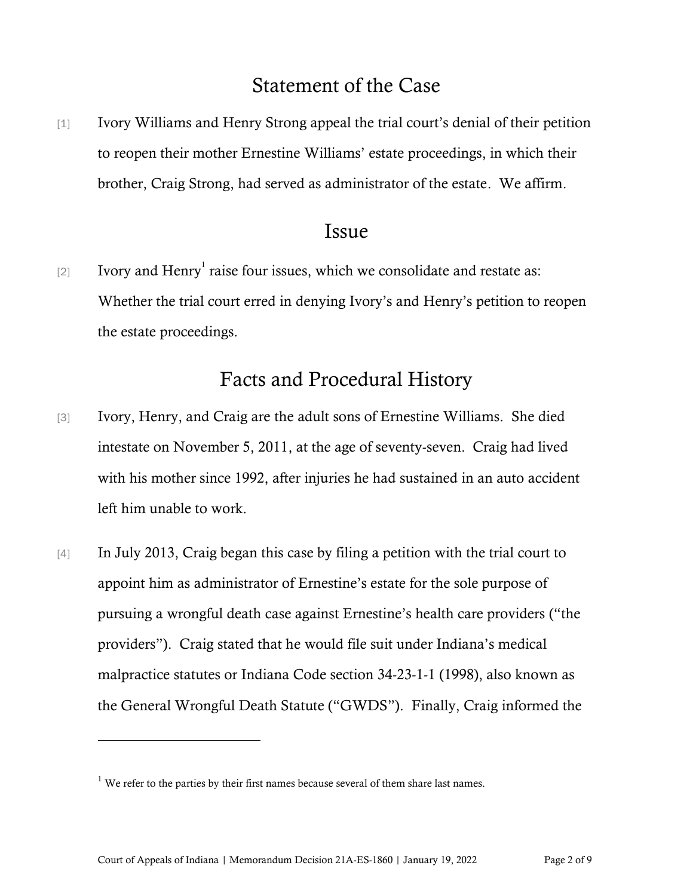# Statement of the Case

[1] Ivory Williams and Henry Strong appeal the trial court's denial of their petition to reopen their mother Ernestine Williams' estate proceedings, in which their brother, Craig Strong, had served as administrator of the estate. We affirm.

### Issue

[2] Ivory and Henry<sup>1</sup> raise four issues, which we consolidate and restate as: Whether the trial court erred in denying Ivory's and Henry's petition to reopen the estate proceedings.

# Facts and Procedural History

- [3] Ivory, Henry, and Craig are the adult sons of Ernestine Williams. She died intestate on November 5, 2011, at the age of seventy-seven. Craig had lived with his mother since 1992, after injuries he had sustained in an auto accident left him unable to work.
- [4] In July 2013, Craig began this case by filing a petition with the trial court to appoint him as administrator of Ernestine's estate for the sole purpose of pursuing a wrongful death case against Ernestine's health care providers ("the providers"). Craig stated that he would file suit under Indiana's medical malpractice statutes or Indiana Code section 34-23-1-1 (1998), also known as the General Wrongful Death Statute ("GWDS"). Finally, Craig informed the

 $1$  We refer to the parties by their first names because several of them share last names.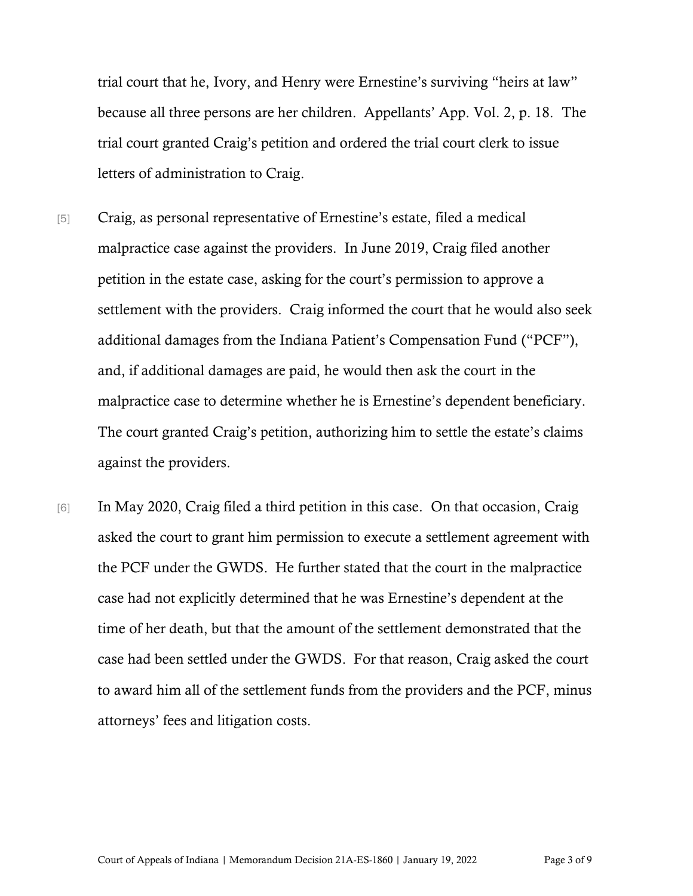trial court that he, Ivory, and Henry were Ernestine's surviving "heirs at law" because all three persons are her children. Appellants' App. Vol. 2, p. 18. The trial court granted Craig's petition and ordered the trial court clerk to issue letters of administration to Craig.

- [5] Craig, as personal representative of Ernestine's estate, filed a medical malpractice case against the providers. In June 2019, Craig filed another petition in the estate case, asking for the court's permission to approve a settlement with the providers. Craig informed the court that he would also seek additional damages from the Indiana Patient's Compensation Fund ("PCF"), and, if additional damages are paid, he would then ask the court in the malpractice case to determine whether he is Ernestine's dependent beneficiary. The court granted Craig's petition, authorizing him to settle the estate's claims against the providers.
- [6] In May 2020, Craig filed a third petition in this case. On that occasion, Craig asked the court to grant him permission to execute a settlement agreement with the PCF under the GWDS. He further stated that the court in the malpractice case had not explicitly determined that he was Ernestine's dependent at the time of her death, but that the amount of the settlement demonstrated that the case had been settled under the GWDS. For that reason, Craig asked the court to award him all of the settlement funds from the providers and the PCF, minus attorneys' fees and litigation costs.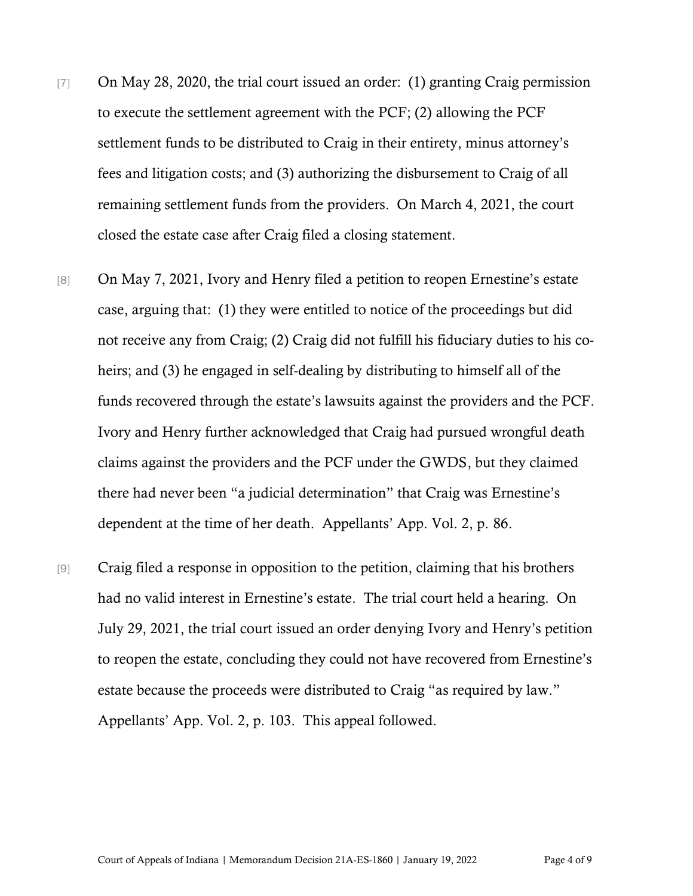- [7] On May 28, 2020, the trial court issued an order: (1) granting Craig permission to execute the settlement agreement with the PCF; (2) allowing the PCF settlement funds to be distributed to Craig in their entirety, minus attorney's fees and litigation costs; and (3) authorizing the disbursement to Craig of all remaining settlement funds from the providers. On March 4, 2021, the court closed the estate case after Craig filed a closing statement.
- [8] On May 7, 2021, Ivory and Henry filed a petition to reopen Ernestine's estate case, arguing that: (1) they were entitled to notice of the proceedings but did not receive any from Craig; (2) Craig did not fulfill his fiduciary duties to his coheirs; and (3) he engaged in self-dealing by distributing to himself all of the funds recovered through the estate's lawsuits against the providers and the PCF. Ivory and Henry further acknowledged that Craig had pursued wrongful death claims against the providers and the PCF under the GWDS, but they claimed there had never been "a judicial determination" that Craig was Ernestine's dependent at the time of her death. Appellants' App. Vol. 2, p. 86.
- [9] Craig filed a response in opposition to the petition, claiming that his brothers had no valid interest in Ernestine's estate. The trial court held a hearing. On July 29, 2021, the trial court issued an order denying Ivory and Henry's petition to reopen the estate, concluding they could not have recovered from Ernestine's estate because the proceeds were distributed to Craig "as required by law." Appellants' App. Vol. 2, p. 103. This appeal followed.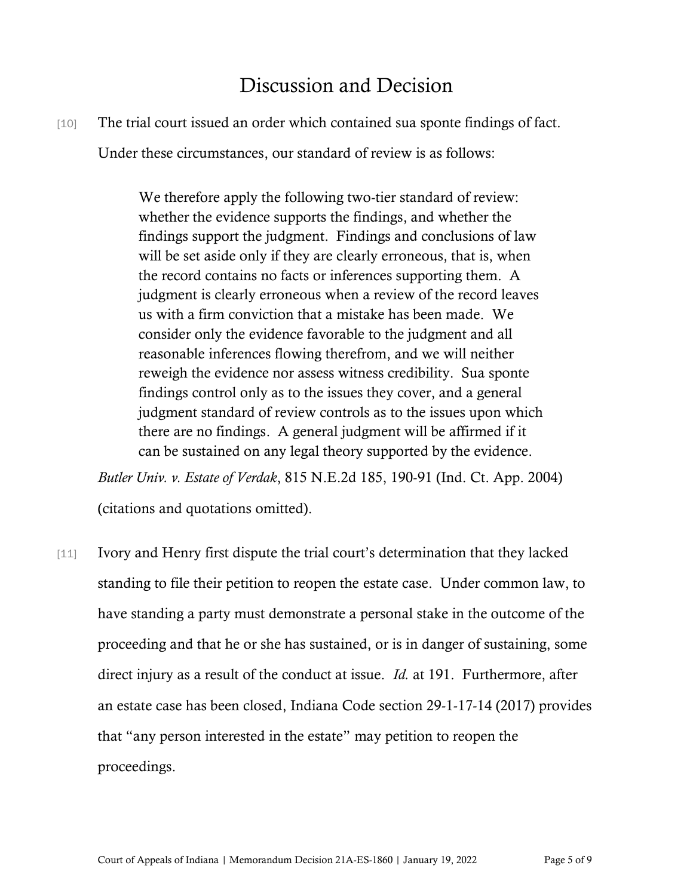# Discussion and Decision

[10] The trial court issued an order which contained sua sponte findings of fact.

Under these circumstances, our standard of review is as follows:

We therefore apply the following two-tier standard of review: whether the evidence supports the findings, and whether the findings support the judgment. Findings and conclusions of law will be set aside only if they are clearly erroneous, that is, when the record contains no facts or inferences supporting them. A judgment is clearly erroneous when a review of the record leaves us with a firm conviction that a mistake has been made. We consider only the evidence favorable to the judgment and all reasonable inferences flowing therefrom, and we will neither reweigh the evidence nor assess witness credibility. Sua sponte findings control only as to the issues they cover, and a general judgment standard of review controls as to the issues upon which there are no findings. A general judgment will be affirmed if it can be sustained on any legal theory supported by the evidence.

*Butler Univ. v. Estate of Verdak*, 815 N.E.2d 185, 190-91 (Ind. Ct. App. 2004) (citations and quotations omitted).

[11] Ivory and Henry first dispute the trial court's determination that they lacked standing to file their petition to reopen the estate case. Under common law, to have standing a party must demonstrate a personal stake in the outcome of the proceeding and that he or she has sustained, or is in danger of sustaining, some direct injury as a result of the conduct at issue. *Id.* at 191. Furthermore, after an estate case has been closed, Indiana Code section 29-1-17-14 (2017) provides that "any person interested in the estate" may petition to reopen the proceedings.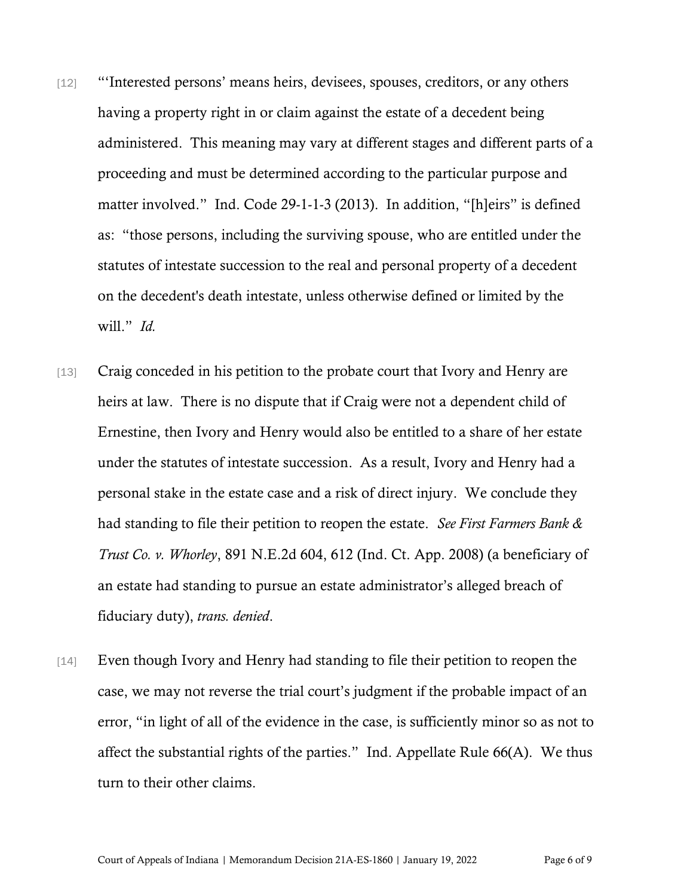- [12] "'Interested persons' means heirs, devisees, spouses, creditors, or any others having a property right in or claim against the estate of a decedent being administered. This meaning may vary at different stages and different parts of a proceeding and must be determined according to the particular purpose and matter involved." Ind. Code 29-1-1-3 (2013). In addition, "[h]eirs" is defined as: "those persons, including the surviving spouse, who are entitled under the statutes of intestate succession to the real and personal property of a decedent on the decedent's death intestate, unless otherwise defined or limited by the will." *Id.*
- [13] Craig conceded in his petition to the probate court that Ivory and Henry are heirs at law. There is no dispute that if Craig were not a dependent child of Ernestine, then Ivory and Henry would also be entitled to a share of her estate under the statutes of intestate succession. As a result, Ivory and Henry had a personal stake in the estate case and a risk of direct injury. We conclude they had standing to file their petition to reopen the estate. *See First Farmers Bank & Trust Co. v. Whorley*, 891 N.E.2d 604, 612 (Ind. Ct. App. 2008) (a beneficiary of an estate had standing to pursue an estate administrator's alleged breach of fiduciary duty), *trans. denied*.
- [14] Even though Ivory and Henry had standing to file their petition to reopen the case, we may not reverse the trial court's judgment if the probable impact of an error, "in light of all of the evidence in the case, is sufficiently minor so as not to affect the substantial rights of the parties." Ind. Appellate Rule 66(A). We thus turn to their other claims.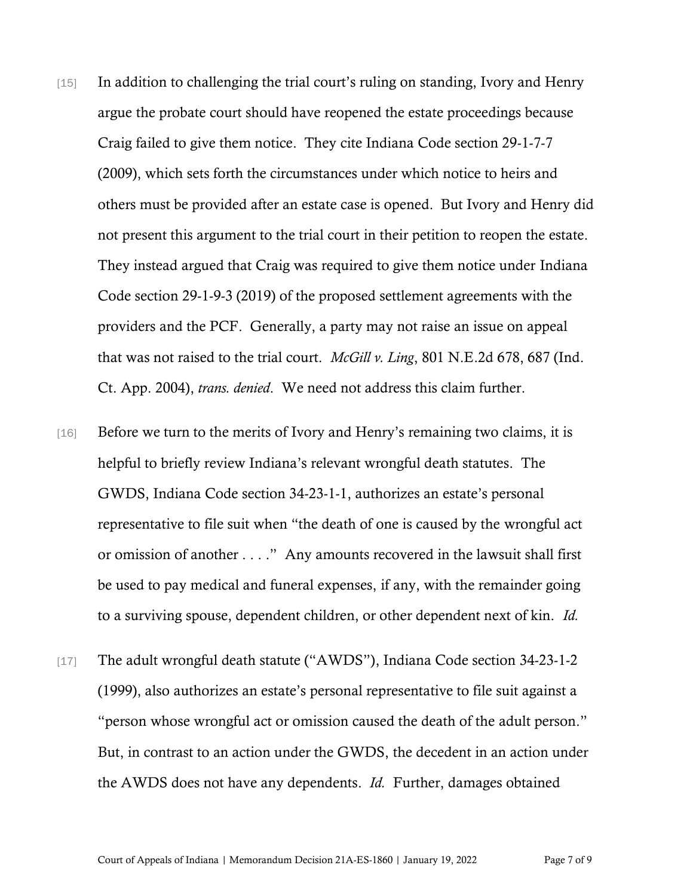- [15] In addition to challenging the trial court's ruling on standing, Ivory and Henry argue the probate court should have reopened the estate proceedings because Craig failed to give them notice. They cite Indiana Code section 29-1-7-7 (2009), which sets forth the circumstances under which notice to heirs and others must be provided after an estate case is opened. But Ivory and Henry did not present this argument to the trial court in their petition to reopen the estate. They instead argued that Craig was required to give them notice under Indiana Code section 29-1-9-3 (2019) of the proposed settlement agreements with the providers and the PCF. Generally, a party may not raise an issue on appeal that was not raised to the trial court. *McGill v. Ling*, 801 N.E.2d 678, 687 (Ind. Ct. App. 2004), *trans. denied*. We need not address this claim further.
- [16] Before we turn to the merits of Ivory and Henry's remaining two claims, it is helpful to briefly review Indiana's relevant wrongful death statutes. The GWDS, Indiana Code section 34-23-1-1, authorizes an estate's personal representative to file suit when "the death of one is caused by the wrongful act or omission of another . . . ." Any amounts recovered in the lawsuit shall first be used to pay medical and funeral expenses, if any, with the remainder going to a surviving spouse, dependent children, or other dependent next of kin. *Id.*
- [17] The adult wrongful death statute ("AWDS"), Indiana Code section 34-23-1-2 (1999), also authorizes an estate's personal representative to file suit against a "person whose wrongful act or omission caused the death of the adult person." But, in contrast to an action under the GWDS, the decedent in an action under the AWDS does not have any dependents. *Id.* Further, damages obtained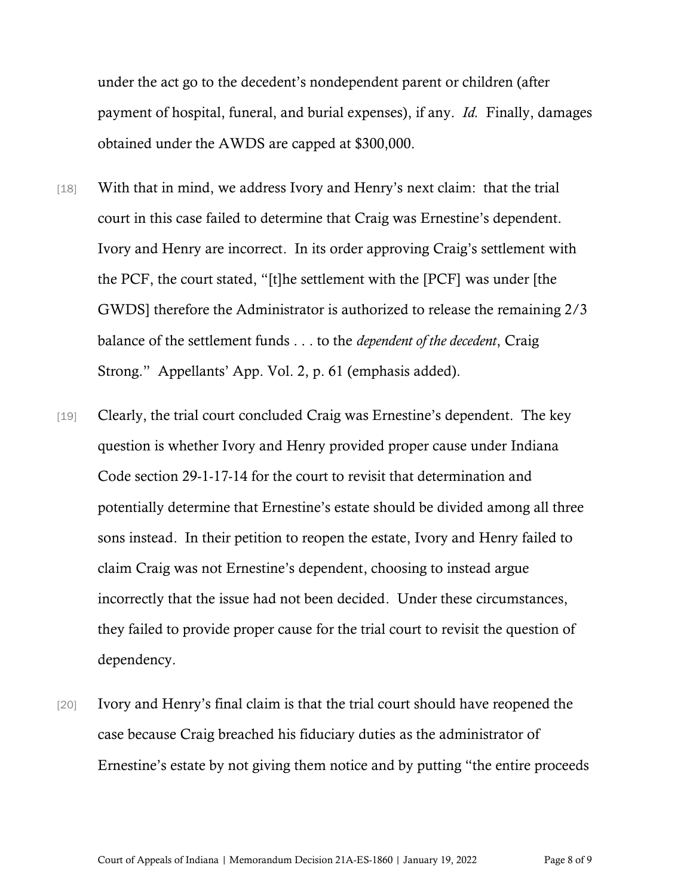under the act go to the decedent's nondependent parent or children (after payment of hospital, funeral, and burial expenses), if any. *Id.* Finally, damages obtained under the AWDS are capped at \$300,000.

- [18] With that in mind, we address Ivory and Henry's next claim: that the trial court in this case failed to determine that Craig was Ernestine's dependent. Ivory and Henry are incorrect. In its order approving Craig's settlement with the PCF, the court stated, "[t]he settlement with the [PCF] was under [the GWDS] therefore the Administrator is authorized to release the remaining 2/3 balance of the settlement funds . . . to the *dependent of the decedent*, Craig Strong." Appellants' App. Vol. 2, p. 61 (emphasis added).
- [19] Clearly, the trial court concluded Craig was Ernestine's dependent. The key question is whether Ivory and Henry provided proper cause under Indiana Code section 29-1-17-14 for the court to revisit that determination and potentially determine that Ernestine's estate should be divided among all three sons instead. In their petition to reopen the estate, Ivory and Henry failed to claim Craig was not Ernestine's dependent, choosing to instead argue incorrectly that the issue had not been decided. Under these circumstances, they failed to provide proper cause for the trial court to revisit the question of dependency.
- [20] Ivory and Henry's final claim is that the trial court should have reopened the case because Craig breached his fiduciary duties as the administrator of Ernestine's estate by not giving them notice and by putting "the entire proceeds